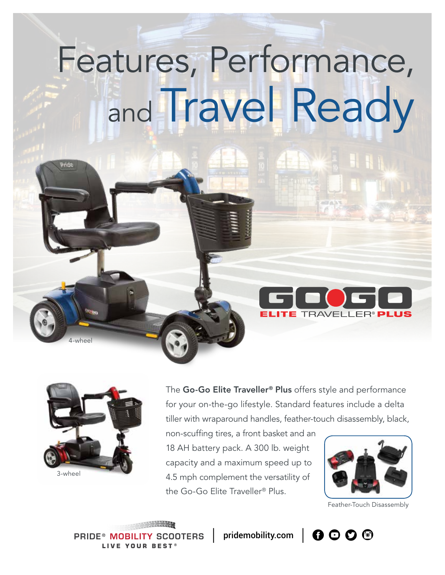# Features, Performance, and Travel Ready



4-wheel

The Go-Go Elite Traveller<sup>®</sup> Plus offers style and performance for your on-the-go lifestyle. Standard features include a delta tiller with wraparound handles, feather-touch disassembly, black,

non-scuffing tires, a front basket and an 18 AH battery pack. A 300 lb. weight capacity and a maximum speed up to 4.5 mph complement the versatility of the Go-Go Elite Traveller® Plus.



Feather-Touch Disassembly